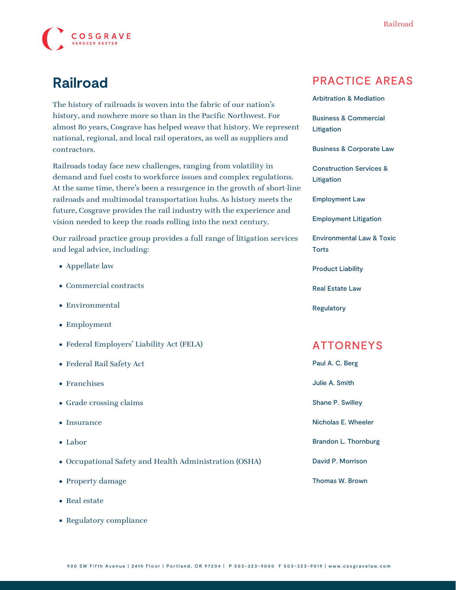

# **Railroad**

The history of railroads is woven into the fabric of our nation's history, and nowhere more so than in the Pacific Northwest. For almost 80 years, Cosgrave has helped weave that history. We represent national, regional, and local rail operators, as well as suppliers and contractors.

Railroads today face new challenges, ranging from volatility in demand and fuel costs to workforce issues and complex regulations. At the same time, there's been a resurgence in the growth of short-line railroads and multimodal transportation hubs. As history meets the future, Cosgrave provides the rail industry with the experience and vision needed to keep the roads rolling into the next century.

Our railroad practice group provides a full range of litigation services and legal advice, including:

- Appellate law
- Commercial contracts
- Environmental
- Employment
- Federal Employers' Liability Act (FELA)
- Federal Rail Safety Act
- Franchises
- Grade crossing claims
- Insurance
- Labor
- Occupational Safety and Health Administration (OSHA)
- Property damage
- Real estate
- Regulatory compliance

#### PRACTICE AREAS

[Arbitration & Mediation](https://www.cosgravelaw.com/arbitration-mediation/)

[Business & Commercial](https://www.cosgravelaw.com/business-commercial-litigation/) [Litigation](https://www.cosgravelaw.com/business-commercial-litigation/)

[Business & Corporate Law](https://www.cosgravelaw.com/business-representation-transactions/)

[Construction Services &](https://www.cosgravelaw.com/construction-services-litigation/) [Litigation](https://www.cosgravelaw.com/construction-services-litigation/)

[Employment Law](https://www.cosgravelaw.com/employee-relations-hr-advice-counsel/)

[Employment Litigation](https://www.cosgravelaw.com/employment-litigation/)

[Environmental Law & Toxic](https://www.cosgravelaw.com/environmental-law-toxic-torts/) **[Torts](https://www.cosgravelaw.com/environmental-law-toxic-torts/)** 

[Product Liability](https://www.cosgravelaw.com/product-liability-attorneys/)

[Real Estate Law](https://www.cosgravelaw.com/real-estate-law/)

[Regulatory](https://www.cosgravelaw.com/regulatory/)

#### ATTORNEYS

| Paul A. C. Berg        |
|------------------------|
| Julie A. Smith         |
| Shane P. Swilley       |
| Nicholas E. Wheeler    |
| Brandon L. Thornburg   |
| David P. Morrison      |
| <b>Thomas W. Brown</b> |